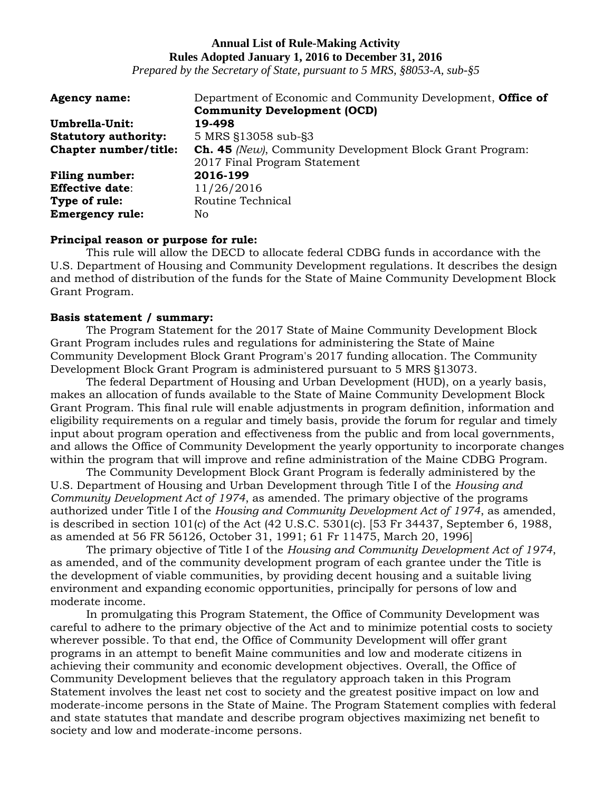## **Annual List of Rule-Making Activity Rules Adopted January 1, 2016 to December 31, 2016**

*Prepared by the Secretary of State, pursuant to 5 MRS, §8053-A, sub-§5*

| <b>Agency name:</b>         | Department of Economic and Community Development, <b>Office of</b> |
|-----------------------------|--------------------------------------------------------------------|
|                             | <b>Community Development (OCD)</b>                                 |
| Umbrella-Unit:              | 19-498                                                             |
| <b>Statutory authority:</b> | 5 MRS §13058 sub-§3                                                |
| Chapter number/title:       | <b>Ch. 45</b> (New), Community Development Block Grant Program:    |
|                             | 2017 Final Program Statement                                       |
| <b>Filing number:</b>       | 2016-199                                                           |
| <b>Effective date:</b>      | 11/26/2016                                                         |
| Type of rule:               | Routine Technical                                                  |
| <b>Emergency rule:</b>      | No                                                                 |

#### **Principal reason or purpose for rule:**

This rule will allow the DECD to allocate federal CDBG funds in accordance with the U.S. Department of Housing and Community Development regulations. It describes the design and method of distribution of the funds for the State of Maine Community Development Block Grant Program.

#### **Basis statement / summary:**

The Program Statement for the 2017 State of Maine Community Development Block Grant Program includes rules and regulations for administering the State of Maine Community Development Block Grant Program's 2017 funding allocation. The Community Development Block Grant Program is administered pursuant to 5 MRS §13073.

The federal Department of Housing and Urban Development (HUD), on a yearly basis, makes an allocation of funds available to the State of Maine Community Development Block Grant Program. This final rule will enable adjustments in program definition, information and eligibility requirements on a regular and timely basis, provide the forum for regular and timely input about program operation and effectiveness from the public and from local governments, and allows the Office of Community Development the yearly opportunity to incorporate changes within the program that will improve and refine administration of the Maine CDBG Program.

The Community Development Block Grant Program is federally administered by the U.S. Department of Housing and Urban Development through Title I of the *Housing and Community Development Act of 1974*, as amended. The primary objective of the programs authorized under Title I of the *Housing and Community Development Act of 1974*, as amended, is described in section 101(c) of the Act (42 U.S.C. 5301(c). [53 Fr 34437, September 6, 1988, as amended at 56 FR 56126, October 31, 1991; 61 Fr 11475, March 20, 1996]

The primary objective of Title I of the *Housing and Community Development Act of 1974*, as amended, and of the community development program of each grantee under the Title is the development of viable communities, by providing decent housing and a suitable living environment and expanding economic opportunities, principally for persons of low and moderate income.

In promulgating this Program Statement, the Office of Community Development was careful to adhere to the primary objective of the Act and to minimize potential costs to society wherever possible. To that end, the Office of Community Development will offer grant programs in an attempt to benefit Maine communities and low and moderate citizens in achieving their community and economic development objectives. Overall, the Office of Community Development believes that the regulatory approach taken in this Program Statement involves the least net cost to society and the greatest positive impact on low and moderate-income persons in the State of Maine. The Program Statement complies with federal and state statutes that mandate and describe program objectives maximizing net benefit to society and low and moderate-income persons.